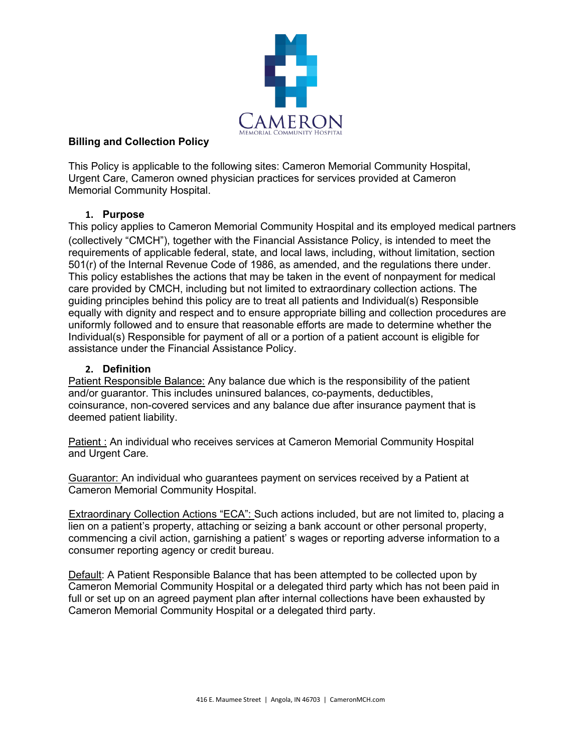

# **Billing and Collection Policy**

This Policy is applicable to the following sites: Cameron Memorial Community Hospital, Urgent Care, Cameron owned physician practices for services provided at Cameron Memorial Community Hospital.

# **1. Purpose**

This policy applies to Cameron Memorial Community Hospital and its employed medical partners (collectively "CMCH"), together with the Financial Assistance Policy, is intended to meet the requirements of applicable federal, state, and local laws, including, without limitation, section 501(r) of the Internal Revenue Code of 1986, as amended, and the regulations there under. This policy establishes the actions that may be taken in the event of nonpayment for medical care provided by CMCH, including but not limited to extraordinary collection actions. The guiding principles behind this policy are to treat all patients and Individual(s) Responsible equally with dignity and respect and to ensure appropriate billing and collection procedures are uniformly followed and to ensure that reasonable efforts are made to determine whether the Individual(s) Responsible for payment of all or a portion of a patient account is eligible for assistance under the Financial Assistance Policy.

### **2. Definition**

Patient Responsible Balance: Any balance due which is the responsibility of the patient and/or guarantor. This includes uninsured balances, co-payments, deductibles, coinsurance, non-covered services and any balance due after insurance payment that is deemed patient liability.

Patient : An individual who receives services at Cameron Memorial Community Hospital and Urgent Care.

Guarantor: An individual who guarantees payment on services received by a Patient at Cameron Memorial Community Hospital.

Extraordinary Collection Actions "ECA": Such actions included, but are not limited to, placing a lien on a patient's property, attaching or seizing a bank account or other personal property, commencing a civil action, garnishing a patient' s wages or reporting adverse information to a consumer reporting agency or credit bureau.

Default: A Patient Responsible Balance that has been attempted to be collected upon by Cameron Memorial Community Hospital or a delegated third party which has not been paid in full or set up on an agreed payment plan after internal collections have been exhausted by Cameron Memorial Community Hospital or a delegated third party.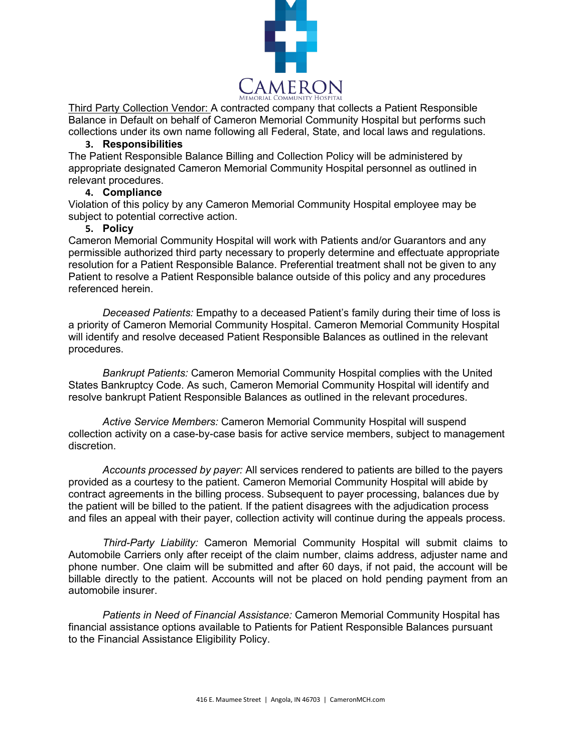

Third Party Collection Vendor: A contracted company that collects a Patient Responsible Balance in Default on behalf of Cameron Memorial Community Hospital but performs such collections under its own name following all Federal, State, and local laws and regulations.

#### **3. Responsibilities**

The Patient Responsible Balance Billing and Collection Policy will be administered by appropriate designated Cameron Memorial Community Hospital personnel as outlined in relevant procedures.

# **4. Compliance**

Violation of this policy by any Cameron Memorial Community Hospital employee may be subject to potential corrective action.

### **5. Policy**

Cameron Memorial Community Hospital will work with Patients and/or Guarantors and any permissible authorized third party necessary to properly determine and effectuate appropriate resolution for a Patient Responsible Balance. Preferential treatment shall not be given to any Patient to resolve a Patient Responsible balance outside of this policy and any procedures referenced herein.

*Deceased Patients:* Empathy to a deceased Patient's family during their time of loss is a priority of Cameron Memorial Community Hospital. Cameron Memorial Community Hospital will identify and resolve deceased Patient Responsible Balances as outlined in the relevant procedures.

*Bankrupt Patients:* Cameron Memorial Community Hospital complies with the United States Bankruptcy Code. As such, Cameron Memorial Community Hospital will identify and resolve bankrupt Patient Responsible Balances as outlined in the relevant procedures.

*Active Service Members:* Cameron Memorial Community Hospital will suspend collection activity on a case-by-case basis for active service members, subject to management discretion.

*Accounts processed by payer:* All services rendered to patients are billed to the payers provided as a courtesy to the patient. Cameron Memorial Community Hospital will abide by contract agreements in the billing process. Subsequent to payer processing, balances due by the patient will be billed to the patient. If the patient disagrees with the adjudication process and files an appeal with their payer, collection activity will continue during the appeals process.

*Third-Party Liability:* Cameron Memorial Community Hospital will submit claims to Automobile Carriers only after receipt of the claim number, claims address, adjuster name and phone number. One claim will be submitted and after 60 days, if not paid, the account will be billable directly to the patient. Accounts will not be placed on hold pending payment from an automobile insurer.

*Patients in Need of Financial Assistance:* Cameron Memorial Community Hospital has financial assistance options available to Patients for Patient Responsible Balances pursuant to the Financial Assistance Eligibility Policy.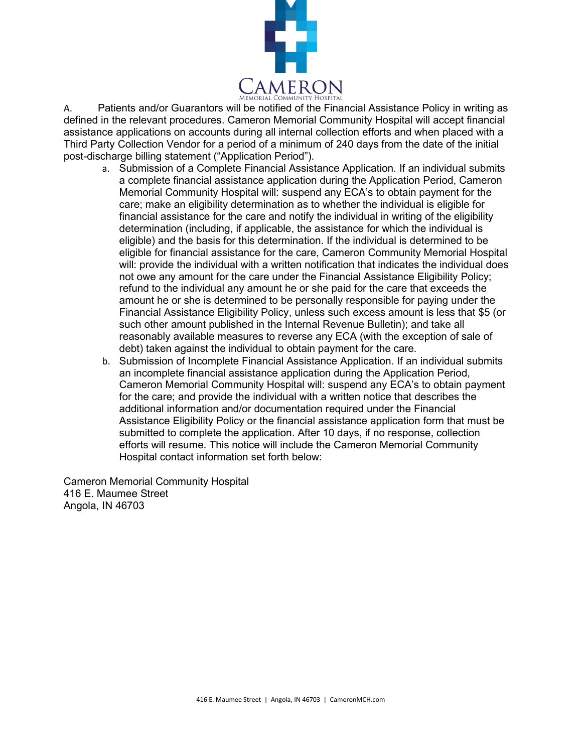

A. Patients and/or Guarantors will be notified of the Financial Assistance Policy in writing as defined in the relevant procedures. Cameron Memorial Community Hospital will accept financial assistance applications on accounts during all internal collection efforts and when placed with a Third Party Collection Vendor for a period of a minimum of 240 days from the date of the initial post-discharge billing statement ("Application Period").

- a. Submission of a Complete Financial Assistance Application. If an individual submits a complete financial assistance application during the Application Period, Cameron Memorial Community Hospital will: suspend any ECA's to obtain payment for the care; make an eligibility determination as to whether the individual is eligible for financial assistance for the care and notify the individual in writing of the eligibility determination (including, if applicable, the assistance for which the individual is eligible) and the basis for this determination. If the individual is determined to be eligible for financial assistance for the care, Cameron Community Memorial Hospital will: provide the individual with a written notification that indicates the individual does not owe any amount for the care under the Financial Assistance Eligibility Policy; refund to the individual any amount he or she paid for the care that exceeds the amount he or she is determined to be personally responsible for paying under the Financial Assistance Eligibility Policy, unless such excess amount is less that \$5 (or such other amount published in the Internal Revenue Bulletin); and take all reasonably available measures to reverse any ECA (with the exception of sale of debt) taken against the individual to obtain payment for the care.
- b. Submission of Incomplete Financial Assistance Application. If an individual submits an incomplete financial assistance application during the Application Period, Cameron Memorial Community Hospital will: suspend any ECA's to obtain payment for the care; and provide the individual with a written notice that describes the additional information and/or documentation required under the Financial Assistance Eligibility Policy or the financial assistance application form that must be submitted to complete the application. After 10 days, if no response, collection efforts will resume. This notice will include the Cameron Memorial Community Hospital contact information set forth below:

Cameron Memorial Community Hospital 416 E. Maumee Street Angola, IN 46703